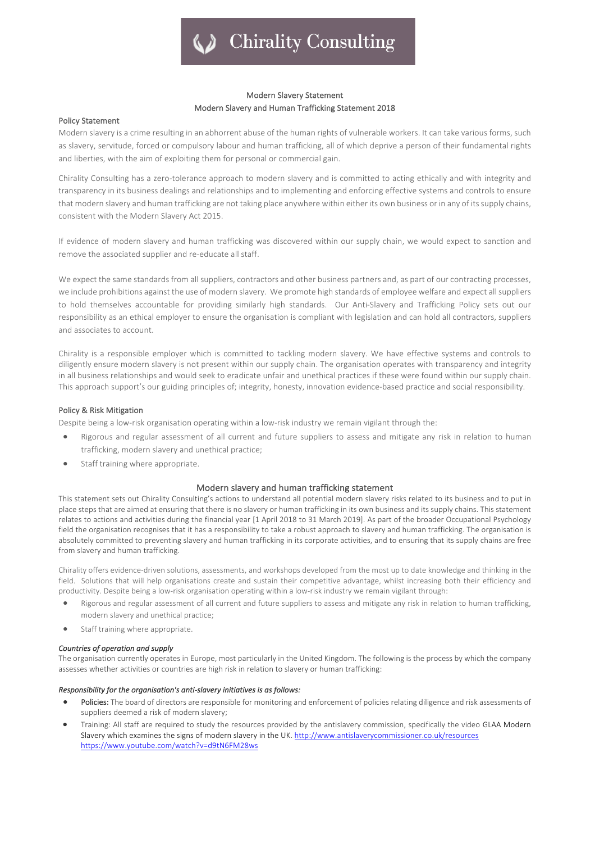# **Chirality Consulting**

# Modern Slavery Statement Modern Slavery and Human Trafficking Statement 2018

# Policy Statement

Modern slavery is a crime resulting in an abhorrent abuse of the human rights of vulnerable workers. It can take various forms, such as slavery, servitude, forced or compulsory labour and human trafficking, all of which deprive a person of their fundamental rights and liberties, with the aim of exploiting them for personal or commercial gain.

Chirality Consulting has a zero-tolerance approach to modern slavery and is committed to acting ethically and with integrity and transparency in its business dealings and relationships and to implementing and enforcing effective systems and controls to ensure that modern slavery and human trafficking are not taking place anywhere within either its own business or in any of its supply chains, consistent with the Modern Slavery Act 2015.

If evidence of modern slavery and human trafficking was discovered within our supply chain, we would expect to sanction and remove the associated supplier and re-educate all staff.

We expect the same standards from all suppliers, contractors and other business partners and, as part of our contracting processes, we include prohibitions against the use of modern slavery. We promote high standards of employee welfare and expect all suppliers to hold themselves accountable for providing similarly high standards. Our Anti-Slavery and Trafficking Policy sets out our responsibility as an ethical employer to ensure the organisation is compliant with legislation and can hold all contractors, suppliers and associates to account.

Chirality is a responsible employer which is committed to tackling modern slavery. We have effective systems and controls to diligently ensure modern slavery is not present within our supply chain. The organisation operates with transparency and integrity in all business relationships and would seek to eradicate unfair and unethical practices if these were found within our supply chain. This approach support's our guiding principles of; integrity, honesty, innovation evidence-based practice and social responsibility.

### Policy & Risk Mitigation

Despite being a low-risk organisation operating within a low-risk industry we remain vigilant through the:

- Rigorous and regular assessment of all current and future suppliers to assess and mitigate any risk in relation to human trafficking, modern slavery and unethical practice;
- Staff training where appropriate.

# Modern slavery and human trafficking statement

This statement sets out Chirality Consulting's actions to understand all potential modern slavery risks related to its business and to put in place steps that are aimed at ensuring that there is no slavery or human trafficking in its own business and its supply chains. This statement relates to actions and activities during the financial year [1 April 2018 to 31 March 2019]. As part of the broader Occupational Psychology field the organisation recognises that it has a responsibility to take a robust approach to slavery and human trafficking. The organisation is absolutely committed to preventing slavery and human trafficking in its corporate activities, and to ensuring that its supply chains are free from slavery and human trafficking.

Chirality offers evidence-driven solutions, assessments, and workshops developed from the most up to date knowledge and thinking in the field. Solutions that will help organisations create and sustain their competitive advantage, whilst increasing both their efficiency and productivity. Despite being a low-risk organisation operating within a low-risk industry we remain vigilant through:

- Rigorous and regular assessment of all current and future suppliers to assess and mitigate any risk in relation to human trafficking, modern slavery and unethical practice;
- Staff training where appropriate.

#### **Countries of operation and supply**

The organisation currently operates in Europe, most particularly in the United Kingdom. The following is the process by which the company assesses whether activities or countries are high risk in relation to slavery or human trafficking:

# Responsibility for the organisation's anti-slavery initiatives is as follows:

- Policies: The board of directors are responsible for monitoring and enforcement of policies relating diligence and risk assessments of suppliers deemed a risk of modern slavery;
- Training: All staff are required to study the resources provided by the antislavery commission, specifically the video GLAA Modern Slavery which examines the signs of modern slavery in the UK. http://www.antislaverycommissioner.co.uk/resources https://www.youtube.com/watch?v=d9tN6FM28ws